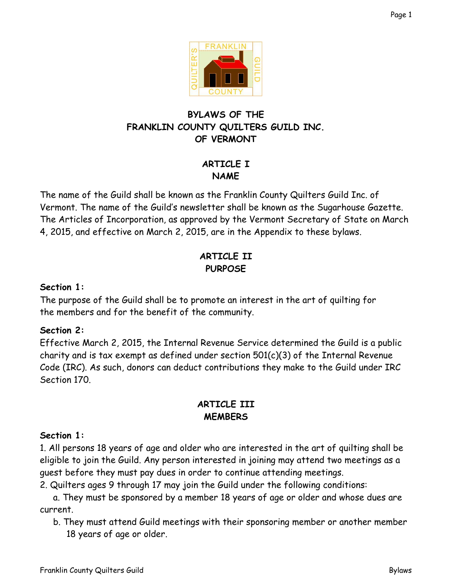

# **BYLAWS OF THE FRANKLIN COUNTY QUILTERS GUILD INC. OF VERMONT**

# **ARTICLE I NAME**

The name of the Guild shall be known as the Franklin County Quilters Guild Inc. of Vermont. The name of the Guild's newsletter shall be known as the Sugarhouse Gazette. The Articles of Incorporation, as approved by the Vermont Secretary of State on March 4, 2015, and effective on March 2, 2015, are in the Appendix to these bylaws.

# **ARTICLE II PURPOSE**

## **Section 1:**

The purpose of the Guild shall be to promote an interest in the art of quilting for the members and for the benefit of the community.

### **Section 2:**

Effective March 2, 2015, the Internal Revenue Service determined the Guild is a public charity and is tax exempt as defined under section  $501(c)(3)$  of the Internal Revenue Code (IRC). As such, donors can deduct contributions they make to the Guild under IRC Section 170.

# **ARTICLE III MEMBERS**

## **Section 1:**

1. All persons 18 years of age and older who are interested in the art of quilting shall be eligible to join the Guild. Any person interested in joining may attend two meetings as a guest before they must pay dues in order to continue attending meetings.

2. Quilters ages 9 through 17 may join the Guild under the following conditions:

a. They must be sponsored by a member 18 years of age or older and whose dues are current.

b. They must attend Guild meetings with their sponsoring member or another member 18 years of age or older.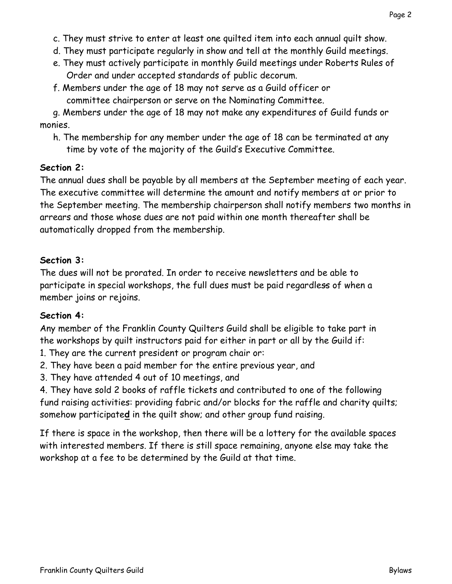- c. They must strive to enter at least one quilted item into each annual quilt show.
- d. They must participate regularly in show and tell at the monthly Guild meetings.
- e. They must actively participate in monthly Guild meetings under Roberts Rules of Order and under accepted standards of public decorum.
- f. Members under the age of 18 may not serve as a Guild officer or committee chairperson or serve on the Nominating Committee.

g. Members under the age of 18 may not make any expenditures of Guild funds or monies.

h. The membership for any member under the age of 18 can be terminated at any time by vote of the majority of the Guild's Executive Committee.

## **Section 2:**

The annual dues shall be payable by all members at the September meeting of each year. The executive committee will determine the amount and notify members at or prior to the September meeting. The membership chairperson shall notify members two months in arrears and those whose dues are not paid within one month thereafter shall be automatically dropped from the membership.

## **Section 3:**

The dues will not be prorated. In order to receive newsletters and be able to participate in special workshops, the full dues must be paid regardless of when a member joins or rejoins.

## **Section 4:**

Any member of the Franklin County Quilters Guild shall be eligible to take part in the workshops by quilt instructors paid for either in part or all by the Guild if:

- 1. They are the current president or program chair or:
- 2. They have been a paid member for the entire previous year, and
- 3. They have attended 4 out of 10 meetings, and

4. They have sold 2 books of raffle tickets and contributed to one of the following fund raising activities: providing fabric and/or blocks for the raffle and charity quilts; somehow participate**d** in the quilt show; and other group fund raising.

If there is space in the workshop, then there will be a lottery for the available spaces with interested members. If there is still space remaining, anyone else may take the workshop at a fee to be determined by the Guild at that time.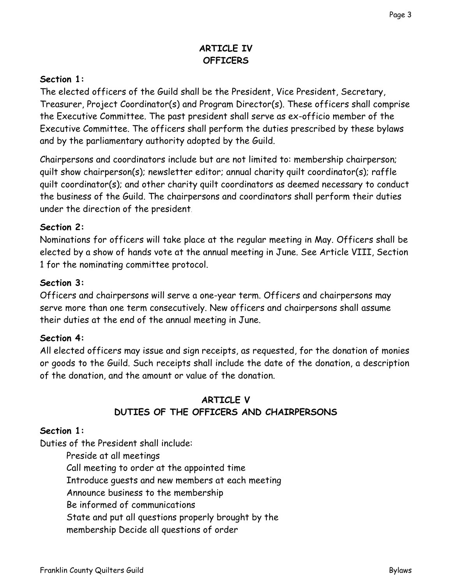## **ARTICLE IV OFFICERS**

### **Section 1:**

The elected officers of the Guild shall be the President, Vice President, Secretary, Treasurer, Project Coordinator(s) and Program Director(s). These officers shall comprise the Executive Committee. The past president shall serve as ex-officio member of the Executive Committee. The officers shall perform the duties prescribed by these bylaws and by the parliamentary authority adopted by the Guild.

Chairpersons and coordinators include but are not limited to: membership chairperson; quilt show chairperson(s); newsletter editor; annual charity quilt coordinator(s); raffle quilt coordinator(s); and other charity quilt coordinators as deemed necessary to conduct the business of the Guild. The chairpersons and coordinators shall perform their duties under the direction of the president.

#### **Section 2:**

Nominations for officers will take place at the regular meeting in May. Officers shall be elected by a show of hands vote at the annual meeting in June. See Article VIII, Section 1 for the nominating committee protocol.

#### **Section 3:**

Officers and chairpersons will serve a one-year term. Officers and chairpersons may serve more than one term consecutively. New officers and chairpersons shall assume their duties at the end of the annual meeting in June.

### **Section 4:**

All elected officers may issue and sign receipts, as requested, for the donation of monies or goods to the Guild. Such receipts shall include the date of the donation, a description of the donation, and the amount or value of the donation.

## **ARTICLE V DUTIES OF THE OFFICERS AND CHAIRPERSONS**

#### **Section 1:**

Duties of the President shall include:

Preside at all meetings Call meeting to order at the appointed time Introduce guests and new members at each meeting Announce business to the membership Be informed of communications State and put all questions properly brought by the membership Decide all questions of order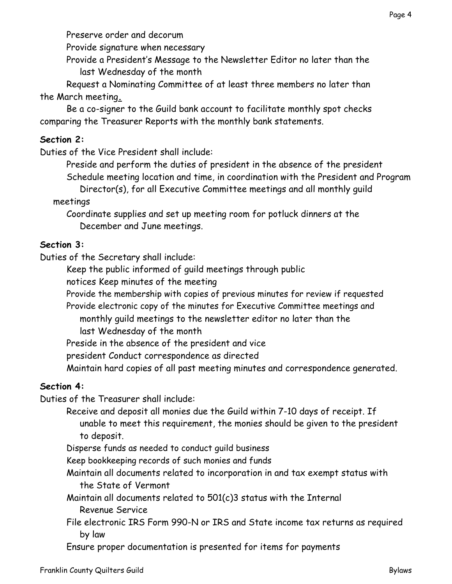Provide signature when necessary

Provide a President's Message to the Newsletter Editor no later than the last Wednesday of the month

Request a Nominating Committee of at least three members no later than the March meeting**.**

Be a co-signer to the Guild bank account to facilitate monthly spot checks comparing the Treasurer Reports with the monthly bank statements.

## **Section 2:**

Duties of the Vice President shall include:

Preside and perform the duties of president in the absence of the president Schedule meeting location and time, in coordination with the President and Program Director(s), for all Executive Committee meetings and all monthly guild meetings

Coordinate supplies and set up meeting room for potluck dinners at the December and June meetings.

## **Section 3:**

Duties of the Secretary shall include:

Keep the public informed of guild meetings through public

notices Keep minutes of the meeting

Provide the membership with copies of previous minutes for review if requested

Provide electronic copy of the minutes for Executive Committee meetings and monthly guild meetings to the newsletter editor no later than the last Wednesday of the month

Preside in the absence of the president and vice

president Conduct correspondence as directed

Maintain hard copies of all past meeting minutes and correspondence generated.

# **Section 4:**

Duties of the Treasurer shall include:

Receive and deposit all monies due the Guild within 7-10 days of receipt. If unable to meet this requirement, the monies should be given to the president to deposit.

Disperse funds as needed to conduct guild business

Keep bookkeeping records of such monies and funds

Maintain all documents related to incorporation in and tax exempt status with the State of Vermont

Maintain all documents related to 501(c)3 status with the Internal Revenue Service

File electronic IRS Form 990-N or IRS and State income tax returns as required by law

Ensure proper documentation is presented for items for payments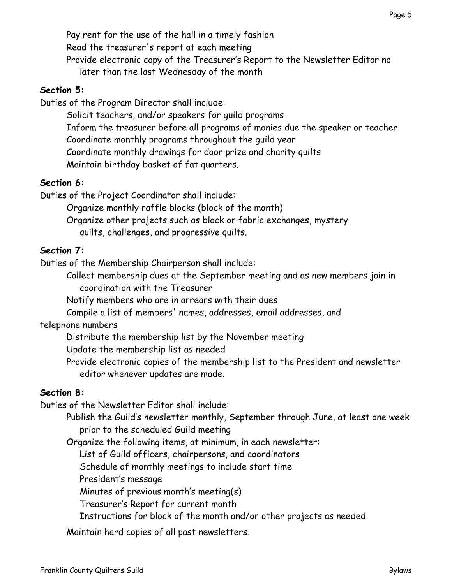Pay rent for the use of the hall in a timely fashion Read the treasurer's report at each meeting Provide electronic copy of the Treasurer's Report to the Newsletter Editor no later than the last Wednesday of the month

### **Section 5:**

Duties of the Program Director shall include:

Solicit teachers, and/or speakers for guild programs Inform the treasurer before all programs of monies due the speaker or teacher Coordinate monthly programs throughout the guild year Coordinate monthly drawings for door prize and charity quilts Maintain birthday basket of fat quarters.

### **Section 6:**

Duties of the Project Coordinator shall include:

Organize monthly raffle blocks (block of the month)

Organize other projects such as block or fabric exchanges, mystery

quilts, challenges, and progressive quilts.

## **Section 7:**

Duties of the Membership Chairperson shall include:

Collect membership dues at the September meeting and as new members join in coordination with the Treasurer

Notify members who are in arrears with their dues

Compile a list of members' names, addresses, email addresses, and

## telephone numbers

Distribute the membership list by the November meeting

Update the membership list as needed

Provide electronic copies of the membership list to the President and newsletter editor whenever updates are made.

### **Section 8:**

Duties of the Newsletter Editor shall include:

Publish the Guild's newsletter monthly, September through June, at least one week prior to the scheduled Guild meeting

Organize the following items, at minimum, in each newsletter:

List of Guild officers, chairpersons, and coordinators

Schedule of monthly meetings to include start time

President's message

Minutes of previous month's meeting(s)

Treasurer's Report for current month

Instructions for block of the month and/or other projects as needed.

Maintain hard copies of all past newsletters.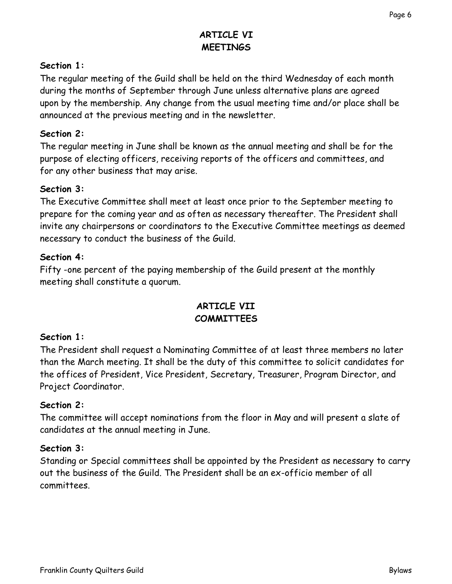## **ARTICLE VI MEETINGS**

### **Section 1:**

The regular meeting of the Guild shall be held on the third Wednesday of each month during the months of September through June unless alternative plans are agreed upon by the membership. Any change from the usual meeting time and/or place shall be announced at the previous meeting and in the newsletter.

#### **Section 2:**

The regular meeting in June shall be known as the annual meeting and shall be for the purpose of electing officers, receiving reports of the officers and committees, and for any other business that may arise.

#### **Section 3:**

The Executive Committee shall meet at least once prior to the September meeting to prepare for the coming year and as often as necessary thereafter. The President shall invite any chairpersons or coordinators to the Executive Committee meetings as deemed necessary to conduct the business of the Guild.

#### **Section 4:**

Fifty -one percent of the paying membership of the Guild present at the monthly meeting shall constitute a quorum.

### **ARTICLE VII COMMITTEES**

### **Section 1:**

The President shall request a Nominating Committee of at least three members no later than the March meeting. It shall be the duty of this committee to solicit candidates for the offices of President, Vice President, Secretary, Treasurer, Program Director, and Project Coordinator.

#### **Section 2:**

The committee will accept nominations from the floor in May and will present a slate of candidates at the annual meeting in June.

### **Section 3:**

Standing or Special committees shall be appointed by the President as necessary to carry out the business of the Guild. The President shall be an ex-officio member of all committees.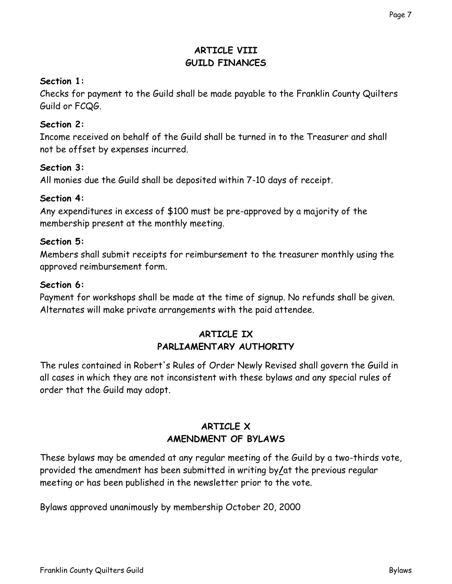## **ARTICLE VIII GUILD FINANCES**

#### **Section 1:**

Checks for payment to the Guild shall be made payable to the Franklin County Quilters Guild or FCQG.

#### **Section 2:**

Income received on behalf of the Guild shall be turned in to the Treasurer and shall not be offset by expenses incurred.

#### **Section 3:**

All monies due the Guild shall be deposited within 7-10 days of receipt.

#### **Section 4:**

Any expenditures in excess of \$100 must be pre-approved by a majority of the membership present at the monthly meeting.

#### **Section 5:**

Members shall submit receipts for reimbursement to the treasurer monthly using the approved reimbursement form.

#### **Section 6:**

Payment for workshops shall be made at the time of signup. No refunds shall be given. Alternates will make private arrangements with the paid attendee.

#### **ARTICLE IX PARLIAMENTARY AUTHORITY**

The rules contained in Robert's Rules of Order Newly Revised shall govern the Guild in all cases in which they are not inconsistent with these bylaws and any special rules of order that the Guild may adopt.

## **ARTICLE X AMENDMENT OF BYLAWS**

These bylaws may be amended at any regular meeting of the Guild by a two-thirds vote, provided the amendment has been submitted in writing by**/**at the previous regular meeting or has been published in the newsletter prior to the vote.

Bylaws approved unanimously by membership October 20, 2000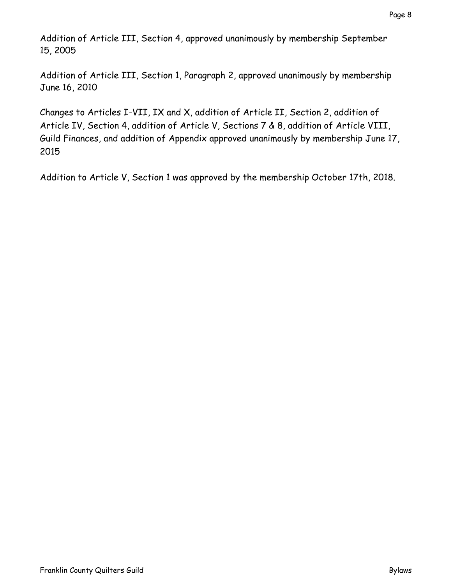Addition of Article III, Section 4, approved unanimously by membership September 15, 2005

Addition of Article III, Section 1, Paragraph 2, approved unanimously by membership June 16, 2010

Changes to Articles I-VII, IX and X, addition of Article II, Section 2, addition of Article IV, Section 4, addition of Article V, Sections 7 & 8, addition of Article VIII, Guild Finances, and addition of Appendix approved unanimously by membership June 17, 2015

Addition to Article V, Section 1 was approved by the membership October 17th, 2018.